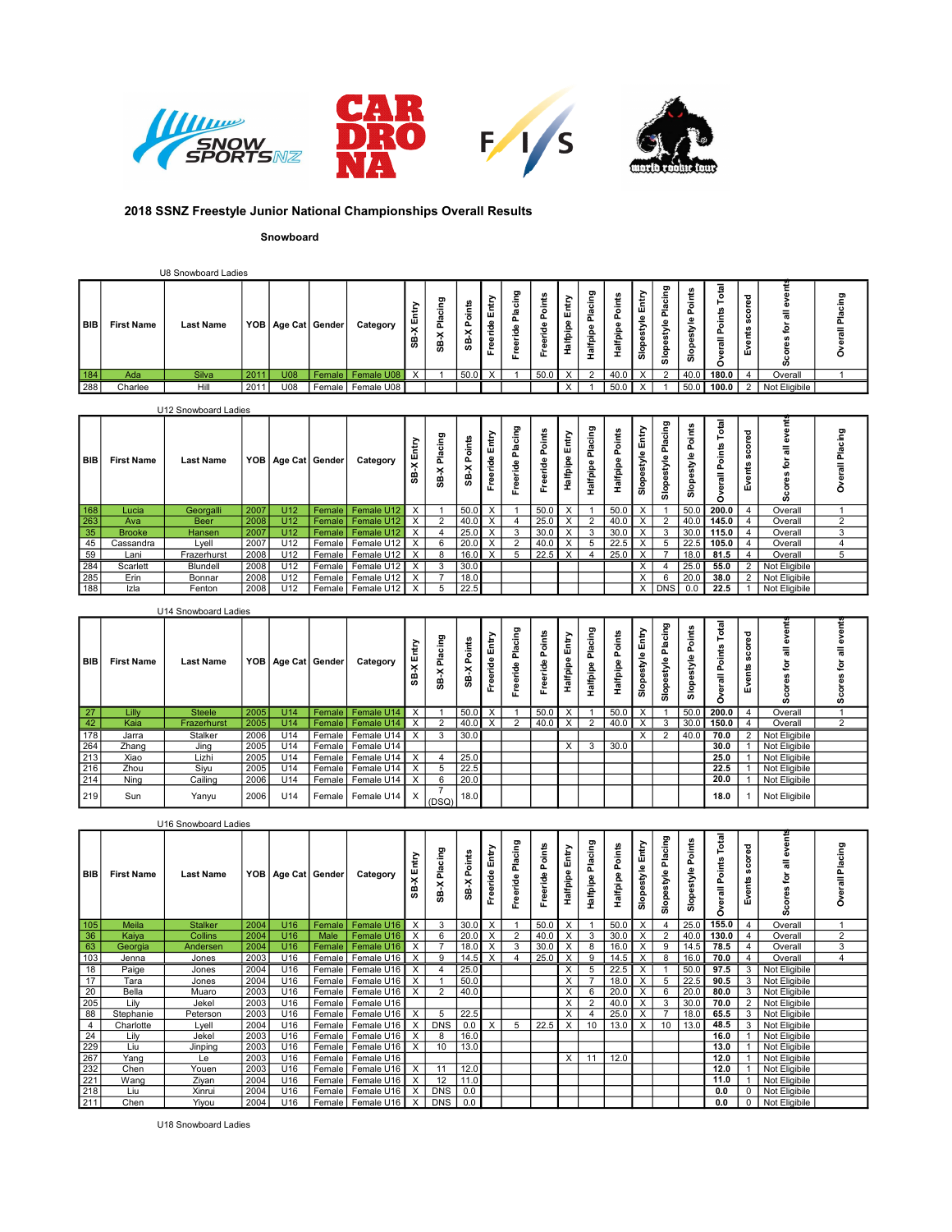

## 2018 SSNZ Freestyle Junior National Championships Overall Results

## Snowboard

|               |                   | U8 Snowboard Ladies |      |             |                        |                     |                       |                                   |                  |                            |         |      |             |                                        |                  |                                                    |                                                |                    |                |                                  |               |        |
|---------------|-------------------|---------------------|------|-------------|------------------------|---------------------|-----------------------|-----------------------------------|------------------|----------------------------|---------|------|-------------|----------------------------------------|------------------|----------------------------------------------------|------------------------------------------------|--------------------|----------------|----------------------------------|---------------|--------|
| BIB           | <b>First Name</b> | <b>Last Name</b>    |      |             | VOB   Age Cat   Gender | Category            | ><br>٠<br>-<br>×<br>8 | g<br>-<br>÷<br>Δ<br>$\times$<br>æ | ∸<br>ட<br>ີ<br>m | ><br>≛<br>֑<br>ω<br>œ<br>正 | ರಾ<br>正 | ÷    | ≂<br>щ<br>≔ | ರಾ<br>÷<br>-<br>∸<br>₽<br>-<br>-<br>÷. | ∸<br>∸<br>÷<br>∸ | 호<br>÷<br>ш.<br>ക<br>$\bar{\vec{s}}$<br>п.<br>ន្លិ | ರಾ<br>능<br>$\overline{a}$<br>-<br><br>Ω<br>န္တ | ≂<br>ш.<br>-<br>ō, | ೆ<br>تتعا<br>Ξ | ਚ<br>$\circ$<br>ပ<br>⊷<br>œ<br>ш | -<br>ഗ        | –<br>◡ |
| $\boxed{184}$ | Ada               | Silva               | 201  | <b>ROLL</b> | <b>Female</b>          | Female U08          | $\mathsf{x}$          |                                   | 50.0             |                            |         | 50.0 |             | $\sim$                                 |                  |                                                    |                                                | 40.0               | 180.0          |                                  | Overall       |        |
| 288           | Charlee           | Hill                | 2011 | U08         |                        | Female   Female U08 |                       |                                   |                  |                            |         |      |             |                                        | 50.0             |                                                    |                                                | 50.0               | $100.0$ 2      |                                  | Not Eligibile |        |

## U12 Snowboard Ladies

| BIB                                                                       | <b>First Name</b> | <b>Last Name</b> |      |                 | YOB   Age Cat   Gender | Category                | Ä.<br>கி                | cing<br>×<br>ၛၟ | oints<br>உ<br>×<br>99 | 高<br>eride<br>Ě | <u>ሮ</u><br>호  | à    | £<br>吅<br>alfpip | ξ<br>₫<br>alfpip<br>Ĩ. | te<br>To<br>௳<br>łalfpip | Entry<br>style<br>Slope | cing<br>훕<br>۴<br><b>in</b><br>Slop | oints<br>௳<br>۴<br>န္တ | Total<br>$\circ$<br>$=$<br>റ | ᄝ<br>8<br>$\boldsymbol{a}$<br><b>u</b><br>÷.<br>ያ<br>ш | U)            | σ. |
|---------------------------------------------------------------------------|-------------------|------------------|------|-----------------|------------------------|-------------------------|-------------------------|-----------------|-----------------------|-----------------|----------------|------|------------------|------------------------|--------------------------|-------------------------|-------------------------------------|------------------------|------------------------------|--------------------------------------------------------|---------------|----|
| $\begin{array}{r}\n\hline\n168 \\ \hline\n263 \\ \hline\n35\n\end{array}$ | Lucia             | Georgalli        | 2007 | U12             | Female <sup>1</sup>    | Female U12              | $\mathsf{X}$            |                 | 50.0                  |                 |                | 50.0 |                  |                        | 50.0                     |                         |                                     | 50.0                   | 200.0                        |                                                        | Overall       |    |
|                                                                           | Ava               | <b>Beer</b>      | 2008 | U <sub>12</sub> | Female I               | Female U12              | $\times$                |                 | 40.0                  |                 |                | 25.0 |                  | $\sim$                 | 40.C                     |                         | ຳ                                   | 40.0                   | 145.0                        |                                                        | Overall       |    |
|                                                                           | <b>Brooke</b>     | Hansen           | 2007 | U12             | Female                 | Female U12              | $\times$                |                 | 25.0                  |                 |                | 30.0 |                  | చ                      | 30.0                     | X                       | 3                                   | 30.0                   | 115.0                        |                                                        | Overall       |    |
|                                                                           | Cassandra         | Lyell            | 2007 | U12             | Female                 | Female U12              | l X                     | 6               | 20.0                  |                 | $\overline{2}$ | 40.0 | $\checkmark$     |                        | 22.5                     |                         | .5                                  | 22.5                   | 105.0                        |                                                        | Overall       |    |
|                                                                           | Lani              | Frazerhurst      | 2008 | U <sub>12</sub> | Female I               | Female U12              | $\mathsf{I} \mathsf{X}$ | 8               | 16.0                  |                 | - 5            | 22.5 | $\checkmark$     |                        | 25.0                     | $\checkmark$            |                                     | 18.0                   | 81.5                         |                                                        | Overall       |    |
| $\frac{45}{284}$                                                          | Scarlett          | Blundell         | 2008 | U12             | Female                 | Female U12 X            |                         | 3               | 30.0                  |                 |                |      |                  |                        |                          | X.                      |                                     | 25.0                   | 55.0                         |                                                        | Not Eligibile |    |
|                                                                           | Erin              | Bonnar           | 2008 | U <sub>12</sub> | Female I               | Female U12 X            |                         |                 | 18.0                  |                 |                |      |                  |                        |                          | $\times$                | -6                                  | 20.0                   | 38.0                         |                                                        | Not Eligibile |    |
| 188                                                                       | Izla              | Fenton           | 2008 | U <sub>12</sub> |                        | Female   Female U12   X |                         |                 | 22.5                  |                 |                |      |                  |                        |                          |                         | $X$   DNS                           | 0.0                    | 22.5                         |                                                        | Not Eligibile |    |

|                                       |            | U14 Snowboard Ladies |      |     |                        |                     |             |                       |                      |                           |                           |                            |                        |                         |                       |                          |                          |                                   |              |                                  |               |        |  |
|---------------------------------------|------------|----------------------|------|-----|------------------------|---------------------|-------------|-----------------------|----------------------|---------------------------|---------------------------|----------------------------|------------------------|-------------------------|-----------------------|--------------------------|--------------------------|-----------------------------------|--------------|----------------------------------|---------------|--------|--|
| I BIB I                               | First Name | <b>Last Name</b>     |      |     | YOB   Age Cat   Gender | Category            | £<br>ະ<br>8 | ರಾ<br><br>죠<br>×<br>5 | oints<br>௳<br>×<br>8 | Entry<br>eride<br>Ĕ       | ರಾ<br>Placing<br>jde<br>Φ | oints<br>௳<br>-e<br>Φ<br>ω | Entry<br>Φ<br>Halfpipe | Placing<br>۰<br>Halfpip | oints<br>ω<br>lalfpip | Entry<br>style<br>Slopes | cing<br>Ź<br>$rac{6}{3}$ | oints<br>௳<br>Φ<br>Ź<br>ω<br>Slop | है<br>틎<br>с | Ѣ<br>ပ<br>w<br>S<br>Ë<br>Φ<br>Δ. | w             | ဖ      |  |
| 27                                    | ∟ill∨      | <b>Steele</b>        | 2005 | U14 |                        | Female   Female U14 | $\times$    |                       | 50.0                 | X                         |                           | 50.0                       | $\times$               |                         | 50.0                  |                          |                          | 50.0                              | 200.0        |                                  | Overall       |        |  |
|                                       | Kaia       | Frazerhurst          | 2005 | U14 |                        | Female   Female U14 |             |                       | 40.0                 | $\boldsymbol{\mathsf{x}}$ |                           | 40.0                       | $\times$               |                         | 40.0                  | x                        |                          | l 30.0                            | 150.0        |                                  | Overall       | $\sim$ |  |
| $\frac{42}{178}$                      | Jarra      | Stalker              | 2006 | U14 |                        | Female   Female U14 | X           | -3                    | 30.0                 |                           |                           |                            |                        |                         |                       | X                        |                          | 40.0                              | 70.0         | 2                                | Not Eligibile |        |  |
| $\frac{11}{264}$<br>$\frac{213}{216}$ | Zhang      | Jing                 | 2005 | U14 |                        | Female   Female U14 |             |                       |                      |                           |                           |                            | $\times$               | 3                       | 30.0                  |                          |                          |                                   | 30.0         |                                  | Not Eligibile |        |  |
|                                       | Xiao       | Lizhi                | 2005 | U14 |                        | Female   Female U14 |             |                       | 25.0                 |                           |                           |                            |                        |                         |                       |                          |                          |                                   | 25.0         |                                  | Not Eligibile |        |  |
|                                       | Zhou       | Siyu                 | 2005 | U14 |                        | Female   Female U14 |             |                       | 22.5                 |                           |                           |                            |                        |                         |                       |                          |                          |                                   | 22.5         |                                  | Not Eligibile |        |  |
| 214                                   | Nina       | Cailing              | 2006 | U14 |                        | Female   Female U14 |             |                       | 20.0                 |                           |                           |                            |                        |                         |                       |                          |                          |                                   | 20.0         |                                  | Not Eligibile |        |  |
| 219                                   | Sun        | Yanyu                | 2006 | U14 |                        | Female   Female U14 |             | (DSQ)                 | 18.0                 |                           |                           |                            |                        |                         |                       |                          |                          |                                   | 18.0         |                                  | Not Eligibile |        |  |

|                |                   | U16 Snowboard Ladies |      |                        |        |                     |          |                 |                |                           |   |                      |                          |                     |                    |                  |                              |                      |                               |                      |               |              |
|----------------|-------------------|----------------------|------|------------------------|--------|---------------------|----------|-----------------|----------------|---------------------------|---|----------------------|--------------------------|---------------------|--------------------|------------------|------------------------------|----------------------|-------------------------------|----------------------|---------------|--------------|
| BIB            | <b>First Name</b> | <b>Last Name</b>     |      | YOB   Age Cat   Gender |        | Category            | ×<br>8   | ξ<br>훈<br>8     | Points<br>SB-X | Entry<br>Freeride         |   | Points<br>eride<br>۴ | Entry<br><b>Halfpipe</b> | Placing<br>Halfpipe | Points<br>Halfpipe | Slopestyle Entry | Placing<br><b>Slopestyle</b> | Points<br>Slopestyle | Total<br>Points<br>erall<br>Ō | ▿<br>score<br>Events |               | ರಾ<br>÷<br>о |
| 105            | Meila             | <b>Stalker</b>       | 2004 | U <sub>16</sub>        | Female | Female U16          | $\times$ | 3               | 30.0           | X                         |   | 50.0                 | X                        |                     | 50.0               | $\times$         | $\overline{4}$               | 25.0                 | 155.0                         |                      | Overall       |              |
| 36             | Kaiya             | <b>Collins</b>       | 2004 | U <sub>16</sub>        | Male   | Female U16          | X        |                 | 20.0           | X                         |   | 40.0                 | X                        | 3                   | 30.0               | $\times$         | - 2                          | 40.0                 | 130.0                         |                      | Overall       | 2            |
| 63             | Georgia           | Andersen             | 2004 | U16                    | Female | Female U16          | X        |                 | 18.0           | X                         | 3 | 30.0                 | X                        | 8                   | 16.0               | X                | 9                            | 14.5                 | 78.5                          |                      | Overall       | 3            |
| 103            | Jenna             | Jones                | 2003 | U16                    | Female | Female U16          | $\times$ |                 | 14.5           | $\boldsymbol{\mathsf{X}}$ |   | 25.0                 | $\times$                 | $\Omega$            |                    | X                | -8                           | 16.0                 | 70.0                          |                      | Overall       |              |
| 18             | Paige             | Jones                | 2004 | U16                    | Female | Female U16          | X        |                 | 25.0           |                           |   |                      | x                        |                     | 22.5               | X                |                              | 50.0                 | 97.5                          | 3                    | Not Eligibile |              |
| 17             | Tara              | Jones                | 2004 | U16                    | Female | Female U16          | $\times$ |                 | 50.0           |                           |   |                      |                          |                     | 18.0               | X                | -5                           | 22.5                 | 90.5                          | 3                    | Not Eligibile |              |
| 20             | Bella             | Muaro                | 2003 | U16                    | Female | Female U16          | X        |                 | 40.0           |                           |   |                      | X                        |                     | 20.0               | $\times$         | - 6                          | 20.0                 | 80.0                          | 3                    | Not Eligibile |              |
| 205            | Lilv              | Jekel                | 2003 | U16                    | Female | Female U16          |          |                 |                |                           |   |                      | X                        |                     | 40.0               | X.               | - 3                          | 30.0                 | 70.0                          |                      | Not Eligibile |              |
| 88             | Stephanie         | Peterson             | 2003 | U16                    | Female | Female U16          | $\times$ | 5               | 22.5           |                           |   |                      | X                        |                     | 25.0               | $\times$         |                              | 18.0                 | 65.5                          | 3                    | Not Eligibile |              |
| $\overline{4}$ | Charlotte         | Lyell                | 2004 | U16                    | Female | Female U16          | X        | <b>DNS</b>      | 0.0            | X                         | 5 | 22.5                 | X                        | 10 <sup>10</sup>    | 13.0               | $\times$         | 10                           | 13.0                 | 48.5                          | 3                    | Not Eligibile |              |
| 24             | Lily              | Jekel                | 2003 | U16                    | Female | Female U16          | $\times$ | 8               | 16.0           |                           |   |                      |                          |                     |                    |                  |                              |                      | 16.0                          |                      | Not Eligibile |              |
| 229            | Liu               | Jinping              | 2003 | U16                    | Female | Female U16          | X        | 10 <sup>1</sup> | 13.0           |                           |   |                      |                          |                     |                    |                  |                              |                      | 13.0                          |                      | Not Eligibile |              |
| 267            | Yang              | Le                   | 2003 | U16                    | Female | Female U16          |          |                 |                |                           |   |                      | X                        | 11                  | 12.0               |                  |                              |                      | 12.0                          |                      | Not Eligibile |              |
| 232            | Chen              | Youen                | 2003 | U16                    | Female | Female U16          | $\times$ | 11              | 12.0           |                           |   |                      |                          |                     |                    |                  |                              |                      | 12.0                          |                      | Not Eligibile |              |
| 221            | Wang              | Ziyan                | 2004 | U16                    | Female | Female U16          | $\times$ | 12              | 11.0           |                           |   |                      |                          |                     |                    |                  |                              |                      | 11.0                          |                      | Not Eligibile |              |
| 218            | Liu               | Xinrui               | 2004 | U16                    | Female | Female U16          | X        | <b>DNS</b>      | 0.0            |                           |   |                      |                          |                     |                    |                  |                              |                      | 0.0                           | $\Omega$             | Not Eligibile |              |
| 211            | Chen              | Yiyou                | 2004 | U16                    |        | Female   Female U16 | X        | <b>DNS</b>      | 0.0            |                           |   |                      |                          |                     |                    |                  |                              |                      | 0.0                           | 0                    | Not Eligibile |              |

U18 Snowboard Ladies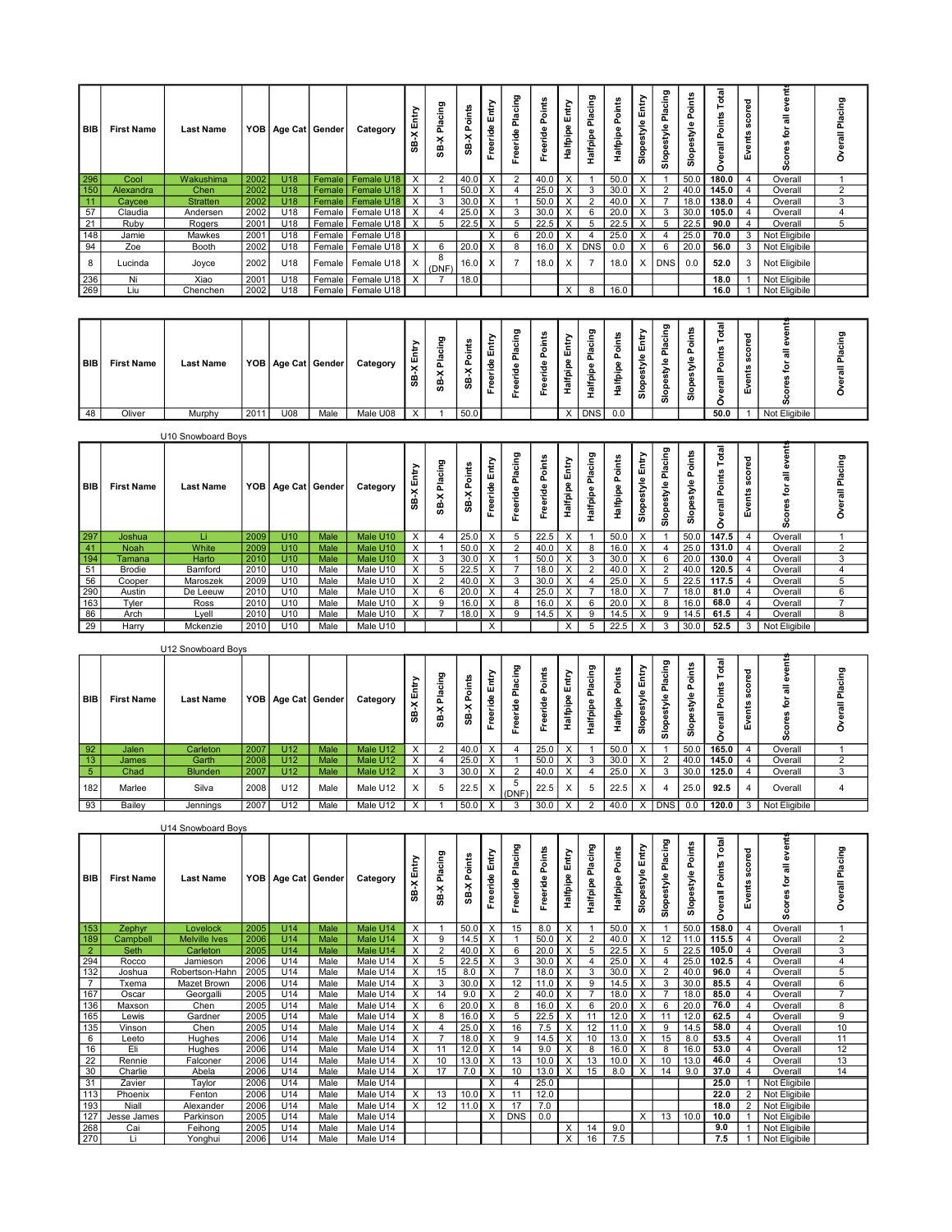|                                                                 | <b>BIB</b> First Name | <b>Last Name</b> |      |                 | YOB   Age Cat   Gender | Category                | ×                         | ರಾ<br>SB-X Placin | ₽<br>ہ۔<br>×<br>æ | Ē,<br>eride<br>Ě | Placing<br>eride | oints | È<br>w<br>ω<br>Halfpip | lacing<br>$\omega$<br>lalfpipe | oints<br>alfpip | Entry<br>style<br>۵<br>Slop | gnio<br><b>Slop</b> | oints<br>۴<br><b>Slop</b> | gal<br>oints<br>듷 | Δ<br>ğ<br>ပ္တ<br>Events | o,            | ₽<br>$\mathbf{c}$ |
|-----------------------------------------------------------------|-----------------------|------------------|------|-----------------|------------------------|-------------------------|---------------------------|-------------------|-------------------|------------------|------------------|-------|------------------------|--------------------------------|-----------------|-----------------------------|---------------------|---------------------------|-------------------|-------------------------|---------------|-------------------|
|                                                                 | Cool                  | Wakushima        | 2002 | U <sub>18</sub> |                        | Female   Female U18     | $\boldsymbol{\mathsf{x}}$ | 2                 | 40.0              | X                |                  | 40.0  |                        |                                | 50.0            |                             |                     | 50.0                      | 180.0             |                         | Overall       |                   |
| $\begin{array}{ c c }\n\hline\n296 \\ \hline\n150\n\end{array}$ | Alexandra             | Chen             | 2002 | U18             |                        | Female   Female U18     |                           |                   | 50.0              |                  |                  | 25.0  |                        | -3                             | 30.0            |                             |                     | 40.0                      | 145.0             |                         | Overall       |                   |
| $\frac{11}{57}$                                                 | Caycee                | Stratten         | 2002 | U <sub>18</sub> |                        | Female   Female U18     | $\boldsymbol{\mathsf{x}}$ | 3                 | 30.0              | x                |                  | 50.0  |                        |                                | 40.0            |                             |                     | 18.0                      | 138.0             |                         | Overall       |                   |
|                                                                 | Claudia               | Andersen         | 2002 | U18             |                        | Female   Female U18     | $\boldsymbol{\mathsf{x}}$ |                   | 25.0              | X                | -3               | 30.0  |                        | 6                              | 20.0            | X                           |                     | 30.0                      | 105.0             |                         | Overall       |                   |
| $\frac{21}{148}$                                                | Ruby                  | Rogers           | 2001 | U18             |                        | Female   Female U18     | X                         |                   | 22.5              |                  |                  | 22.   |                        |                                | 22.5            |                             |                     | 22.5                      | 90.0              |                         | Overall       |                   |
|                                                                 | Jamie                 | Mawkes           | 2001 | U18             |                        | Female   Female U18     |                           |                   |                   | X                |                  | 20.0  |                        | -4                             | 25.0            | X                           |                     | 25.0                      | 70.0              | 3                       | Not Eligibile |                   |
| $\overline{94}$                                                 | Zoe                   | Booth            | 2002 | U18             |                        | Female   Female U18 X   |                           | 6                 | 20.0              | X                |                  | 16.0  |                        | X DNS                          | 0.0             | X                           |                     | 20.0                      | 56.0              |                         | Not Eligibile |                   |
| 8                                                               | Lucinda               | Joyce            | 2002 | U18             |                        | Female   Female U18   X |                           | 8<br>(DNF)        | 16.0              | $\mathsf{X}$     |                  | 18.0  |                        | $\overline{7}$                 | 18.0            |                             | X DNS               | 0.0                       | 52.0              |                         | Not Eligibile |                   |
| $\begin{array}{ c c }\n\hline\n236 \\ \hline\n269\n\end{array}$ | Ni                    | Xiao             | 2001 | U18             | Female                 | Female U18              | X                         |                   | 18.0              |                  |                  |       |                        |                                |                 |                             |                     |                           | 18.0              |                         | Not Eligibile |                   |
|                                                                 | Liu                   | Chenchen         | 2002 | U18             |                        | Female   Female U18     |                           |                   |                   |                  |                  |       | X                      | 8                              | 16.0            |                             |                     |                           | 16.0              |                         | Not Eligibile |                   |

| BIB<br>__ | <b>First Name</b> | <b>Last Name</b> |      |     | YOB   Age Cat ∣ Gender | Category | 붙<br>画<br>$\times$<br>8 | ಠಾ<br>ㅎ<br>≖<br>௳<br>$\times$<br>e, | $\tilde{\phantom{a}}$ | ÷<br>面<br>Ž<br>∣ ๕ | ರಾ<br>Ð | $\overline{\phantom{0}}$<br>ட | и.<br>-   | ರಾ<br><br>௨<br>Ω. | ∸<br>은<br>=<br>- | ÷<br>Ŵ<br>≗<br>o<br>あ | దా<br>흉<br>௳<br>္တိ | -<br>ဖာ | œ<br>o<br>o<br>$=$ | ಕ<br>$\circ$<br>$\circ$<br>Ŵ | c.            |  |  |
|-----------|-------------------|------------------|------|-----|------------------------|----------|-------------------------|-------------------------------------|-----------------------|--------------------|---------|-------------------------------|-----------|-------------------|------------------|-----------------------|---------------------|---------|--------------------|------------------------------|---------------|--|--|
| 48        | Oliver            | Murphy           | 2011 | U08 | Male                   | Male U08 | $\mathbf v$             |                                     | 50.0                  |                    |         |                               | $\lambda$ | <b>DNS</b>        | 0.0              |                       |                     |         | 50.0               |                              | Not Eligibile |  |  |

|                  |                   | U10 Snowboard Boys |      |                 |                        |          |                          |                       |                      |                   |             |              |                 |                            |                        |                    |                            |                                   |                                                            |                                          |               |              |
|------------------|-------------------|--------------------|------|-----------------|------------------------|----------|--------------------------|-----------------------|----------------------|-------------------|-------------|--------------|-----------------|----------------------------|------------------------|--------------------|----------------------------|-----------------------------------|------------------------------------------------------------|------------------------------------------|---------------|--------------|
| BIB              | <b>First Name</b> | <b>Last Name</b>   |      |                 | YOB   Age Cat   Gender | Category | 뷷<br>ш<br>$\times$<br>கீ | ౽<br>5<br>õ<br>×<br>8 | oints<br>ட<br>×<br>5 | Entry<br>Freeride | ፵<br>∸<br>Σ | ā<br>o.<br>ē | Entry<br>alfpip | cing<br>흢<br>ω<br>Halfpipe | ä<br>Δ.<br>alfpip<br>∸ | Entr<br>Slopestyle | enio<br>흢<br>style<br>Slop | ۴ŝ<br>5<br>௳<br>et<br>$rac{6}{5}$ | Ë<br>nts<br>ัอ<br>$\mathbf{a}$<br>$\overline{a}$<br>ω<br>r | ъ<br>ၜႍ<br>$\circ$<br>ပ္တ<br>£<br>Φ<br>ш | ഗ             | ರಾ<br>≔<br>= |
| 297              | Joshua            | Li.                | 2009 | U10             | Male                   | Male U10 | $\times$                 |                       | 25.0                 |                   | -5          | 22.5         |                 |                            | 50.C                   |                    |                            | 50.0                              | 147.5                                                      |                                          | Overall       |              |
|                  | <b>Noah</b>       | White              | 2009 | U10             | Male                   | Male U10 | $\times$                 |                       | 50.0                 |                   | $\sim$      | 40.0         |                 | 8                          |                        |                    |                            | 25.0                              | 131.0                                                      |                                          | Overall       | $\sim$       |
| $\frac{41}{194}$ | Tamana            | Harto              | 2010 | U10             | Male                   | Male U10 | $\times$                 | 3                     | 30.0                 |                   |             | 50.0         |                 | 3                          | 30.0                   | $\checkmark$       | 6                          | 20.0                              | 130.0                                                      |                                          | Overall       |              |
| 51               | Brodie            | Bamford            | 2010 | U10             | Male                   | Male U10 | $\times$                 | 5                     | 22.5                 |                   |             | 18.0         |                 | $\sim$                     | 40.0                   | $\checkmark$       | 2                          | 40.0                              | 120.5                                                      |                                          | Overall       |              |
| $\frac{56}{290}$ | Cooper            | Maroszek           | 2009 | U10             | Male                   | Male U10 | $\times$                 | $\sim$                | 40.0                 | $\lambda$         | 3           | 30.0         |                 |                            | 25.0                   | $\checkmark$       |                            | 22.5                              | 117.5                                                      |                                          | Overall       |              |
|                  | Austin            | De Leeuw           | 2010 | U10             | Male                   | Male U10 | $\times$                 | 6                     | 20.0                 |                   |             | 25.0         |                 |                            | 18.C                   |                    |                            | 18.0                              | 81.0                                                       |                                          | Overall       | b            |
| 163              | Tyler             | Ross               | 2010 | U10             | Male                   | Male U10 | $\times$                 | $\Omega$              | 16.0                 |                   | -8          | 16.0         |                 | 6                          | 20.0                   |                    | 8                          | 16.0                              | 68.0                                                       |                                          | Overall       |              |
| 86               | Arch              | Lvell              | 2010 | U <sub>10</sub> | Male                   | Male U10 | $\times$                 | -                     | 18.0 <sub>1</sub>    | $\checkmark$      | $\Omega$    | 14.          |                 | $\Omega$                   |                        | $\checkmark$       | $\Omega$                   | 14.5                              | 61.5                                                       |                                          | Overall       |              |
| 29               | Harry             | Mckenzie           | 2010 | U10             | Male                   | Male U10 |                          |                       |                      |                   |             |              |                 |                            | 22.5                   |                    | 3                          | 30.0                              | 52.5                                                       | 3                                        | Not Eligibile |              |

|                 |                   | U12 Snowboard Boys |      |     |                        |          |              |                   |              |                                   |       |        |                           |                            |                       |                                   |                                                 |                  |                     |                                   |               |  |
|-----------------|-------------------|--------------------|------|-----|------------------------|----------|--------------|-------------------|--------------|-----------------------------------|-------|--------|---------------------------|----------------------------|-----------------------|-----------------------------------|-------------------------------------------------|------------------|---------------------|-----------------------------------|---------------|--|
| I BIB I         | <b>First Name</b> | <b>Last Name</b>   |      |     | YOB   Age Cat   Gender | Category | ≥<br>¥.<br>₩ | ರಾ<br>흉<br>×<br>8 | 능<br>ու<br>ີ | ><br>ے<br>E<br>-ee<br>Φ<br>Φ<br>击 | ರಾ    | ∸<br>ē | €<br>giqt                 | enis<br>∸<br>နို<br>ㅎ<br>÷ | Ë<br>₽<br>lalfpi<br>۰ | Entr<br>style<br>œ<br>$rac{5}{3}$ | ರಾ<br>능<br>$\mathbf{a}$<br>o.<br>≗<br>⋧<br>Slop | ㅎ<br>÷<br>z<br>ō | ೆ<br>ंत<br>$\equiv$ | ъ<br>۰<br>ن<br>in.<br>⊷<br>œ<br>Ŵ | ≡<br>ဖ        |  |
|                 | Jalen             | Carleton           | 2007 | U12 | Male                   | Male U12 | $\times$     | $\sim$            | 40.0         |                                   |       | 25.0   |                           |                            | 50.0                  |                                   |                                                 | 150.0            | 165.0               |                                   | Overall       |  |
| $\frac{92}{13}$ | James             | Garth              | 2008 | U12 | Male                   | Male U12 | $\times$     |                   | 25.0         |                                   |       | 50.0   | $\lambda$                 |                            | 30.0                  |                                   |                                                 | 40.0             | 145.0               |                                   | Overall       |  |
| 5 <sub>1</sub>  | Chad              | <b>Blunden</b>     | 2007 | U12 | Male                   | Male U12 | $\times$     | 3                 | 30.0         |                                   |       | 40.0   |                           |                            | 25.0                  |                                   | -3                                              | 30.0             | 125.0               |                                   | Overall       |  |
| 182             | Marlee            | Silva              | 2008 | U12 | Male                   | Male U12 | X            | $\mathbf b$       | 22.5         | $\sqrt{}$                         | (DNF) | 22.5   | $\checkmark$<br>$\lambda$ |                            | 22.5                  |                                   |                                                 | 25.0             | 92.5                |                                   | Overall       |  |
| $\overline{93}$ | Bailey            | Jennings           | 2007 | U12 | Male                   | Male U12 | X            |                   | 50.0         |                                   |       | 30.0   |                           |                            |                       |                                   | <sub>DNS</sub>                                  |                  | 120.0               |                                   | Not Eligibile |  |

|                  |                   | U14 Snowboard Bovs   |      |                        |      |          |                           |                 |                |                   |                     |                    |                   |                          |                    |                     |                       |                      |                                       |                                |               |                                |
|------------------|-------------------|----------------------|------|------------------------|------|----------|---------------------------|-----------------|----------------|-------------------|---------------------|--------------------|-------------------|--------------------------|--------------------|---------------------|-----------------------|----------------------|---------------------------------------|--------------------------------|---------------|--------------------------------|
| I вів I          | <b>First Name</b> | <b>Last Name</b>     |      | YOB   Age Cat   Gender |      | Category | Entry<br>×<br>≃<br>ິທ     | Placing<br>SB-X | Points<br>SB-X | Entry<br>Freeride | Placing<br>Freeride | Points<br>Freeride | Entry<br>Halfpipe | Placing<br>Halfpipe      | Points<br>Halfpipe | Entry<br>Slopestyle | Placing<br>Slopestyle | Points<br>Slopestyle | otal<br>oints<br>o<br>erall<br>۰<br>Č | ಕ<br>Φ<br>δ<br>္တ<br>ents<br>ш | œ             | cing<br>으<br>Δ.<br>=<br>π<br>o |
| 153              | Zephyr            | Lovelock             | 2005 | U14                    | Male | Male U14 | $\times$                  |                 | 50.0           | X                 | 15                  | 8.0                | X                 |                          | 50.0               | X                   |                       | 50.0                 | 158.0                                 |                                | Overall       |                                |
| 189              | Campbell          | <b>Melville</b> Ives | 2006 | U14                    | Male | Male U14 | $\times$                  | 9               | 14.5           |                   |                     | 50.0               | X                 | $\overline{\phantom{a}}$ | 40.0               |                     | 12                    | 11.0                 | 115.5                                 |                                | Overall       | 2                              |
| $\overline{2}$   | Seth              | Carleton             | 2005 | U14                    | Male | Male U14 | $\times$                  | 2               | 40.0           | X                 | -6                  | 20.0               | X                 | 5                        | 22.5               |                     | 5                     | 22.5                 | 105.0                                 | $\overline{4}$                 | Overall       | 3                              |
| 294              | Rocco             | Jamieson             | 2006 | U14                    | Male | Male U14 | $\times$                  | 5               | 22.5           | X                 | 3                   | 30.0               | X                 |                          | 25.0               |                     | $\boldsymbol{A}$      | 25.0                 | 102.5                                 | $\overline{4}$                 | Overall       |                                |
| $\overline{132}$ | Joshua            | Robertson-Hahn       | 2005 | U14                    | Male | Male U14 | $\times$                  | 15              | 8.0            |                   |                     | 18.0               | X                 | 3                        | 30.0               |                     | 2                     | 40.0                 | 96.0                                  | $\overline{4}$                 | Overall       | 5                              |
| $\overline{7}$   | Txema             | Mazet Brown          | 2006 | U14                    | Male | Male U14 | X                         | 3               | 30.0           |                   | 12                  | 11.                | X                 |                          | 14.5               |                     | 3                     | 30.0                 | 85.5                                  |                                | Overall       | 6                              |
| 167              | Oscar             | Georgalli            | 2005 | U14                    | Male | Male U14 | $\times$                  | 14              | 9.0            |                   | $\overline{2}$      | 40.0               | X                 |                          | 18.0               |                     |                       | <b>18.0</b>          | 85.0                                  | 4                              | Overall       | $\rightarrow$                  |
| 136              | Maxson            | Chen                 | 2005 | U14                    | Male | Male U14 | X                         | 6               | 20.0           |                   | 8                   | 16.0               | X                 |                          | 20.0               |                     | 6                     | 20.0                 | 76.0                                  | $\overline{4}$                 | Overall       | 8                              |
| 165              | Lewis             | Gardner              | 2005 | U14                    | Male | Male U14 | $\times$                  | 8               | 16.0           |                   | 5                   | 22.5               | $\times$          |                          | 12.0               |                     |                       | 12.0                 | 62.5                                  | 4                              | Overall       | 9                              |
| 135              | Vinson            | Chen                 | 2005 | U14                    | Male | Male U14 | X                         |                 | 25.0           |                   | 16                  | 7.5                | X                 | 12                       | 11.0               |                     | 9                     |                      | 58.0                                  |                                | Overall       | 10                             |
| 6                | Leeto             | Hughes               | 2006 | U14                    | Male | Male U14 | X                         |                 | 18.0           |                   | 9                   | 14.5               | X                 | 10                       | 13.0               |                     | 15                    | 8.0                  | 53.5                                  | -4                             | Overall       | 11                             |
| 16               | Eli               | Hughes               | 2006 | U14                    | Male | Male U14 | $\times$                  | 11              | 12.0           |                   | 14                  | 9.0                | X                 |                          | 16.0               |                     | 8                     | 16.0                 | 53.0                                  | $\overline{4}$                 | Overall       | 12                             |
| 22               | Rennie            | Falconer             | 2006 | U14                    | Male | Male U14 | $\times$                  | 10              | 13.0           |                   | 13                  | 10.0               | X                 | 13                       | 10.0               |                     | 10                    | 13.0                 | 46.0                                  |                                | Overall       | 13                             |
| 30               | Charlie           | Abela                | 2006 | U14                    | Male | Male U14 | $\times$                  |                 | 7.0            |                   | 10                  | 13.0               | X                 | 15                       | 8.0                | $\checkmark$        |                       | 9.0                  | 37.0                                  |                                | Overall       | 14                             |
| 31               | Zavier            | Taylor               | 2006 | U14                    | Male | Male U14 |                           |                 |                | X                 | $\overline{4}$      | 25.0               |                   |                          |                    |                     |                       |                      | 25.0                                  |                                | Not Eligibile |                                |
| 113              | Phoenix           | Fenton               | 2006 | U14                    | Male | Male U14 | $\boldsymbol{\mathsf{x}}$ | 13              | 10.0           | $\times$          | 11                  | 12.0               |                   |                          |                    |                     |                       |                      | 22.0                                  |                                | Not Eligibile |                                |
| 193              | Niall             | Alexander            | 2006 | U14                    | Male | Male U14 | $\times$                  | 12              | 11.0           | $\times$          | 17                  | 7.0                |                   |                          |                    |                     |                       |                      | 18.0                                  | $\overline{2}$                 | Not Eligibile |                                |
| 127              | Jesse James       | Parkinson            | 2005 | U14                    | Male | Male U14 |                           |                 |                | $\mathsf{X}^-$    | DNS                 | 0.0                |                   |                          |                    | $\times$            | 13                    | 10.0                 | 10.0                                  |                                | Not Eligibile |                                |
| 268              | Cai               | Feihong              | 2005 | U14                    | Male | Male U14 |                           |                 |                |                   |                     |                    | X                 | 14                       | 9.0                |                     |                       |                      | 9.0                                   |                                | Not Eligibile |                                |
| 270              | Ιi                | Yonahui              | 2006 | U14                    | Male | Male U14 |                           |                 |                |                   |                     |                    | X                 | 16                       | 7.5                |                     |                       |                      | 7.5                                   |                                | Not Eligibile |                                |